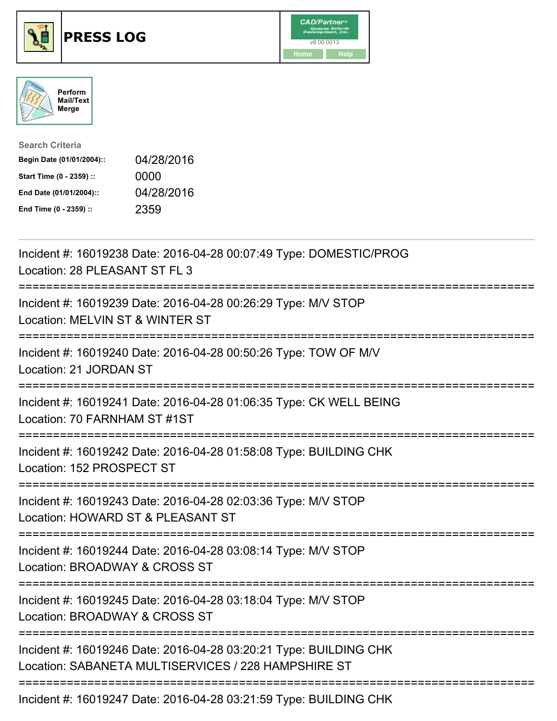





| <b>Search Criteria</b>    |            |
|---------------------------|------------|
| Begin Date (01/01/2004):: | 04/28/2016 |
| Start Time (0 - 2359) ::  | 0000       |
| End Date (01/01/2004)::   | 04/28/2016 |
| End Time (0 - 2359) ::    | 2359       |

| Incident #: 16019238 Date: 2016-04-28 00:07:49 Type: DOMESTIC/PROG<br>Location: 28 PLEASANT ST FL 3                        |
|----------------------------------------------------------------------------------------------------------------------------|
| Incident #: 16019239 Date: 2016-04-28 00:26:29 Type: M/V STOP<br>Location: MELVIN ST & WINTER ST                           |
| Incident #: 16019240 Date: 2016-04-28 00:50:26 Type: TOW OF M/V<br>Location: 21 JORDAN ST                                  |
| Incident #: 16019241 Date: 2016-04-28 01:06:35 Type: CK WELL BEING<br>Location: 70 FARNHAM ST #1ST<br>----------           |
| Incident #: 16019242 Date: 2016-04-28 01:58:08 Type: BUILDING CHK<br>Location: 152 PROSPECT ST<br>----------------         |
| Incident #: 16019243 Date: 2016-04-28 02:03:36 Type: M/V STOP<br>Location: HOWARD ST & PLEASANT ST                         |
| Incident #: 16019244 Date: 2016-04-28 03:08:14 Type: M/V STOP<br>Location: BROADWAY & CROSS ST<br>:======================  |
| Incident #: 16019245 Date: 2016-04-28 03:18:04 Type: M/V STOP<br>Location: BROADWAY & CROSS ST<br>======================== |
| Incident #: 16019246 Date: 2016-04-28 03:20:21 Type: BUILDING CHK<br>Location: SABANETA MULTISERVICES / 228 HAMPSHIRE ST   |
| Incident #: 16019247 Date: 2016-04-28 03:21:59 Type: BUILDING CHK                                                          |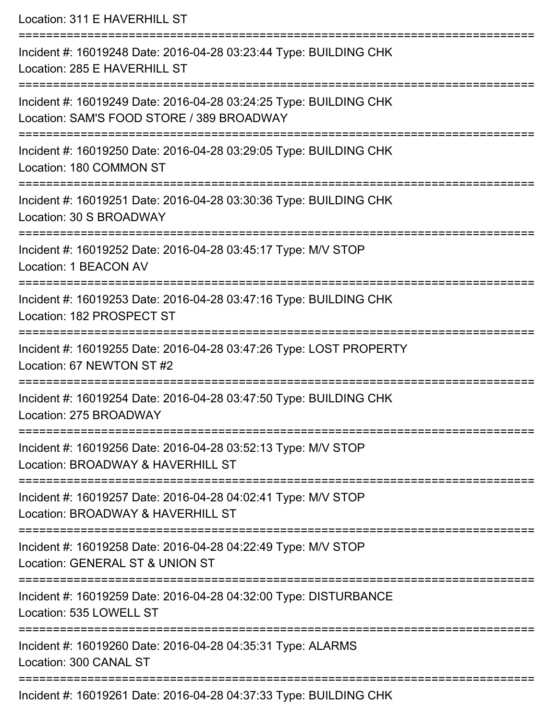| Location: 311 E HAVERHILL ST                                                                                                                         |
|------------------------------------------------------------------------------------------------------------------------------------------------------|
| Incident #: 16019248 Date: 2016-04-28 03:23:44 Type: BUILDING CHK<br>Location: 285 E HAVERHILL ST<br>==================================              |
| Incident #: 16019249 Date: 2016-04-28 03:24:25 Type: BUILDING CHK<br>Location: SAM'S FOOD STORE / 389 BROADWAY<br>================================== |
| Incident #: 16019250 Date: 2016-04-28 03:29:05 Type: BUILDING CHK<br>Location: 180 COMMON ST<br>=================================                    |
| Incident #: 16019251 Date: 2016-04-28 03:30:36 Type: BUILDING CHK<br>Location: 30 S BROADWAY                                                         |
| Incident #: 16019252 Date: 2016-04-28 03:45:17 Type: M/V STOP<br>Location: 1 BEACON AV                                                               |
| Incident #: 16019253 Date: 2016-04-28 03:47:16 Type: BUILDING CHK<br>Location: 182 PROSPECT ST                                                       |
| Incident #: 16019255 Date: 2016-04-28 03:47:26 Type: LOST PROPERTY<br>Location: 67 NEWTON ST #2                                                      |
| Incident #: 16019254 Date: 2016-04-28 03:47:50 Type: BUILDING CHK<br>Location: 275 BROADWAY                                                          |
| Incident #: 16019256 Date: 2016-04-28 03:52:13 Type: M/V STOP<br>Location: BROADWAY & HAVERHILL ST                                                   |
| Incident #: 16019257 Date: 2016-04-28 04:02:41 Type: M/V STOP<br>Location: BROADWAY & HAVERHILL ST                                                   |
| Incident #: 16019258 Date: 2016-04-28 04:22:49 Type: M/V STOP<br>Location: GENERAL ST & UNION ST                                                     |
| --------------------------<br>Incident #: 16019259 Date: 2016-04-28 04:32:00 Type: DISTURBANCE<br>Location: 535 LOWELL ST                            |
| Incident #: 16019260 Date: 2016-04-28 04:35:31 Type: ALARMS<br>Location: 300 CANAL ST                                                                |
| Incident #: 16019261 Date: 2016-04-28 04:37:33 Type: BUILDING CHK                                                                                    |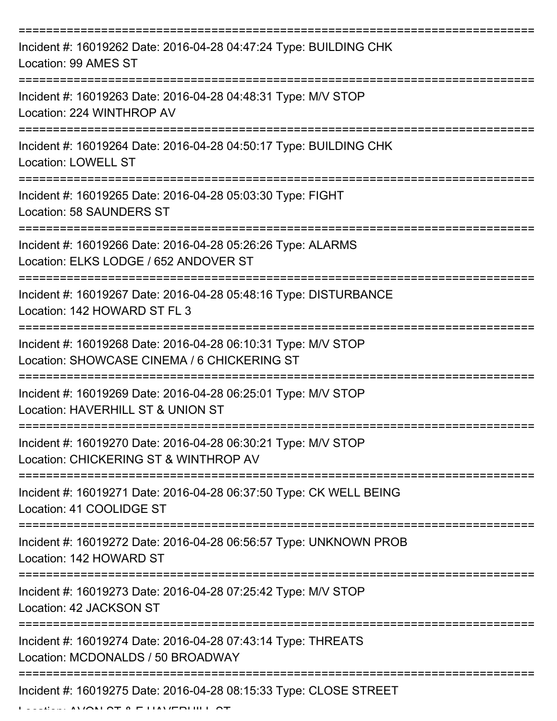| Incident #: 16019262 Date: 2016-04-28 04:47:24 Type: BUILDING CHK<br>Location: 99 AMES ST                    |
|--------------------------------------------------------------------------------------------------------------|
| Incident #: 16019263 Date: 2016-04-28 04:48:31 Type: M/V STOP<br>Location: 224 WINTHROP AV                   |
| Incident #: 16019264 Date: 2016-04-28 04:50:17 Type: BUILDING CHK<br><b>Location: LOWELL ST</b>              |
| Incident #: 16019265 Date: 2016-04-28 05:03:30 Type: FIGHT<br>Location: 58 SAUNDERS ST                       |
| Incident #: 16019266 Date: 2016-04-28 05:26:26 Type: ALARMS<br>Location: ELKS LODGE / 652 ANDOVER ST         |
| Incident #: 16019267 Date: 2016-04-28 05:48:16 Type: DISTURBANCE<br>Location: 142 HOWARD ST FL 3             |
| Incident #: 16019268 Date: 2016-04-28 06:10:31 Type: M/V STOP<br>Location: SHOWCASE CINEMA / 6 CHICKERING ST |
| Incident #: 16019269 Date: 2016-04-28 06:25:01 Type: M/V STOP<br>Location: HAVERHILL ST & UNION ST           |
| Incident #: 16019270 Date: 2016-04-28 06:30:21 Type: M/V STOP<br>Location: CHICKERING ST & WINTHROP AV       |
| Incident #: 16019271 Date: 2016-04-28 06:37:50 Type: CK WELL BEING<br>Location: 41 COOLIDGE ST               |
| Incident #: 16019272 Date: 2016-04-28 06:56:57 Type: UNKNOWN PROB<br>Location: 142 HOWARD ST                 |
| Incident #: 16019273 Date: 2016-04-28 07:25:42 Type: M/V STOP<br>Location: 42 JACKSON ST                     |
| Incident #: 16019274 Date: 2016-04-28 07:43:14 Type: THREATS<br>Location: MCDONALDS / 50 BROADWAY            |
| Incident #: 16019275 Date: 2016-04-28 08:15:33 Type: CLOSE STREET                                            |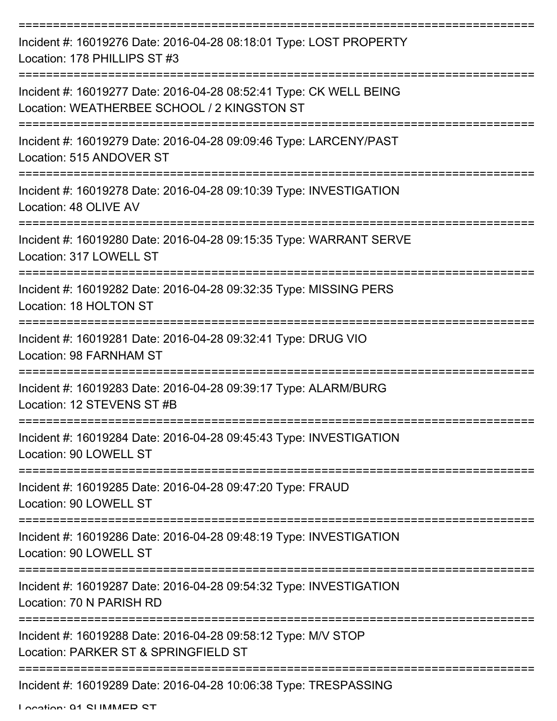| Incident #: 16019276 Date: 2016-04-28 08:18:01 Type: LOST PROPERTY<br>Location: 178 PHILLIPS ST #3                |
|-------------------------------------------------------------------------------------------------------------------|
| Incident #: 16019277 Date: 2016-04-28 08:52:41 Type: CK WELL BEING<br>Location: WEATHERBEE SCHOOL / 2 KINGSTON ST |
| Incident #: 16019279 Date: 2016-04-28 09:09:46 Type: LARCENY/PAST<br>Location: 515 ANDOVER ST                     |
| Incident #: 16019278 Date: 2016-04-28 09:10:39 Type: INVESTIGATION<br>Location: 48 OLIVE AV                       |
| Incident #: 16019280 Date: 2016-04-28 09:15:35 Type: WARRANT SERVE<br>Location: 317 LOWELL ST                     |
| Incident #: 16019282 Date: 2016-04-28 09:32:35 Type: MISSING PERS<br>Location: 18 HOLTON ST                       |
| Incident #: 16019281 Date: 2016-04-28 09:32:41 Type: DRUG VIO<br>Location: 98 FARNHAM ST                          |
| Incident #: 16019283 Date: 2016-04-28 09:39:17 Type: ALARM/BURG<br>Location: 12 STEVENS ST #B                     |
| Incident #: 16019284 Date: 2016-04-28 09:45:43 Type: INVESTIGATION<br>Location: 90 LOWELL ST                      |
| Incident #: 16019285 Date: 2016-04-28 09:47:20 Type: FRAUD<br>Location: 90 LOWELL ST                              |
| Incident #: 16019286 Date: 2016-04-28 09:48:19 Type: INVESTIGATION<br>Location: 90 LOWELL ST                      |
| Incident #: 16019287 Date: 2016-04-28 09:54:32 Type: INVESTIGATION<br>Location: 70 N PARISH RD                    |
| Incident #: 16019288 Date: 2016-04-28 09:58:12 Type: M/V STOP<br>Location: PARKER ST & SPRINGFIELD ST             |
| Incident #: 16019289 Date: 2016-04-28 10:06:38 Type: TRESPASSING                                                  |

Location: 01 CLIMMAED CT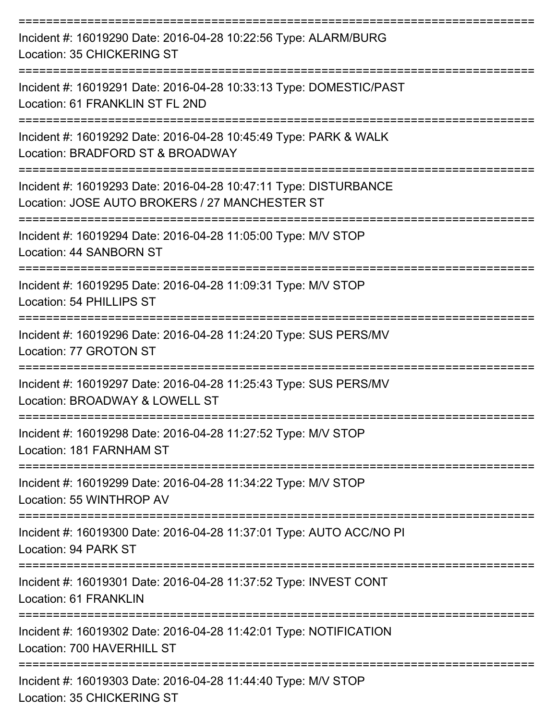| Incident #: 16019290 Date: 2016-04-28 10:22:56 Type: ALARM/BURG<br>Location: 35 CHICKERING ST                                   |
|---------------------------------------------------------------------------------------------------------------------------------|
| Incident #: 16019291 Date: 2016-04-28 10:33:13 Type: DOMESTIC/PAST<br>Location: 61 FRANKLIN ST FL 2ND                           |
| Incident #: 16019292 Date: 2016-04-28 10:45:49 Type: PARK & WALK<br>Location: BRADFORD ST & BROADWAY                            |
| Incident #: 16019293 Date: 2016-04-28 10:47:11 Type: DISTURBANCE<br>Location: JOSE AUTO BROKERS / 27 MANCHESTER ST              |
| Incident #: 16019294 Date: 2016-04-28 11:05:00 Type: M/V STOP<br>Location: 44 SANBORN ST                                        |
| Incident #: 16019295 Date: 2016-04-28 11:09:31 Type: M/V STOP<br>Location: 54 PHILLIPS ST                                       |
| Incident #: 16019296 Date: 2016-04-28 11:24:20 Type: SUS PERS/MV<br>Location: 77 GROTON ST                                      |
| -------------------<br>Incident #: 16019297 Date: 2016-04-28 11:25:43 Type: SUS PERS/MV<br>Location: BROADWAY & LOWELL ST       |
| ==============<br>Incident #: 16019298 Date: 2016-04-28 11:27:52 Type: M/V STOP<br>Location: 181 FARNHAM ST                     |
| Incident #: 16019299 Date: 2016-04-28 11:34:22 Type: M/V STOP<br>Location: 55 WINTHROP AV                                       |
| Incident #: 16019300 Date: 2016-04-28 11:37:01 Type: AUTO ACC/NO PI<br>Location: 94 PARK ST                                     |
| :=================================<br>Incident #: 16019301 Date: 2016-04-28 11:37:52 Type: INVEST CONT<br>Location: 61 FRANKLIN |
| Incident #: 16019302 Date: 2016-04-28 11:42:01 Type: NOTIFICATION<br>Location: 700 HAVERHILL ST                                 |
| Incident #: 16019303 Date: 2016-04-28 11:44:40 Type: M/V STOP<br><b>Location: 35 CHICKERING ST</b>                              |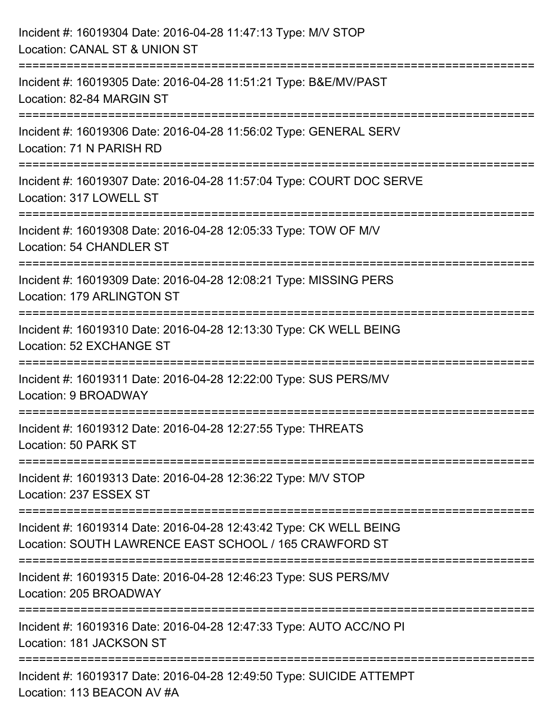| Incident #: 16019304 Date: 2016-04-28 11:47:13 Type: M/V STOP<br>Location: CANAL ST & UNION ST                               |
|------------------------------------------------------------------------------------------------------------------------------|
| Incident #: 16019305 Date: 2016-04-28 11:51:21 Type: B&E/MV/PAST<br>Location: 82-84 MARGIN ST                                |
| Incident #: 16019306 Date: 2016-04-28 11:56:02 Type: GENERAL SERV<br>Location: 71 N PARISH RD                                |
| Incident #: 16019307 Date: 2016-04-28 11:57:04 Type: COURT DOC SERVE<br>Location: 317 LOWELL ST                              |
| Incident #: 16019308 Date: 2016-04-28 12:05:33 Type: TOW OF M/V<br>Location: 54 CHANDLER ST                                  |
| Incident #: 16019309 Date: 2016-04-28 12:08:21 Type: MISSING PERS<br><b>Location: 179 ARLINGTON ST</b>                       |
| Incident #: 16019310 Date: 2016-04-28 12:13:30 Type: CK WELL BEING<br>Location: 52 EXCHANGE ST                               |
| Incident #: 16019311 Date: 2016-04-28 12:22:00 Type: SUS PERS/MV<br>Location: 9 BROADWAY                                     |
| Incident #: 16019312 Date: 2016-04-28 12:27:55 Type: THREATS<br>Location: 50 PARK ST                                         |
| Incident #: 16019313 Date: 2016-04-28 12:36:22 Type: M/V STOP<br>Location: 237 ESSEX ST                                      |
| Incident #: 16019314 Date: 2016-04-28 12:43:42 Type: CK WELL BEING<br>Location: SOUTH LAWRENCE EAST SCHOOL / 165 CRAWFORD ST |
| Incident #: 16019315 Date: 2016-04-28 12:46:23 Type: SUS PERS/MV<br>Location: 205 BROADWAY                                   |
| Incident #: 16019316 Date: 2016-04-28 12:47:33 Type: AUTO ACC/NO PI<br>Location: 181 JACKSON ST                              |
| Incident #: 16019317 Date: 2016-04-28 12:49:50 Type: SUICIDE ATTEMPT<br>Location: 113 BEACON AV #A                           |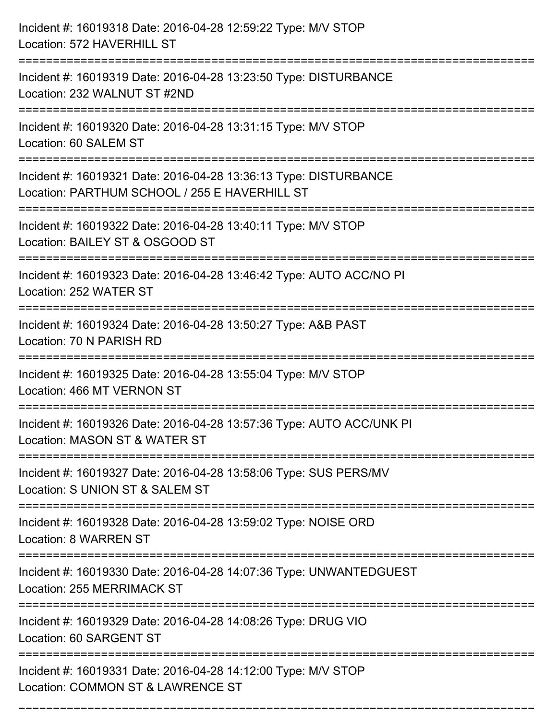| Incident #: 16019318 Date: 2016-04-28 12:59:22 Type: M/V STOP<br>Location: 572 HAVERHILL ST                              |
|--------------------------------------------------------------------------------------------------------------------------|
| :===================<br>Incident #: 16019319 Date: 2016-04-28 13:23:50 Type: DISTURBANCE<br>Location: 232 WALNUT ST #2ND |
| Incident #: 16019320 Date: 2016-04-28 13:31:15 Type: M/V STOP<br>Location: 60 SALEM ST                                   |
| Incident #: 16019321 Date: 2016-04-28 13:36:13 Type: DISTURBANCE<br>Location: PARTHUM SCHOOL / 255 E HAVERHILL ST        |
| Incident #: 16019322 Date: 2016-04-28 13:40:11 Type: M/V STOP<br>Location: BAILEY ST & OSGOOD ST                         |
| Incident #: 16019323 Date: 2016-04-28 13:46:42 Type: AUTO ACC/NO PI<br>Location: 252 WATER ST                            |
| Incident #: 16019324 Date: 2016-04-28 13:50:27 Type: A&B PAST<br>Location: 70 N PARISH RD                                |
| Incident #: 16019325 Date: 2016-04-28 13:55:04 Type: M/V STOP<br>Location: 466 MT VERNON ST                              |
| Incident #: 16019326 Date: 2016-04-28 13:57:36 Type: AUTO ACC/UNK PI<br>Location: MASON ST & WATER ST                    |
| Incident #: 16019327 Date: 2016-04-28 13:58:06 Type: SUS PERS/MV<br>Location: S UNION ST & SALEM ST                      |
| Incident #: 16019328 Date: 2016-04-28 13:59:02 Type: NOISE ORD<br>Location: 8 WARREN ST                                  |
| Incident #: 16019330 Date: 2016-04-28 14:07:36 Type: UNWANTEDGUEST<br><b>Location: 255 MERRIMACK ST</b>                  |
| Incident #: 16019329 Date: 2016-04-28 14:08:26 Type: DRUG VIO<br>Location: 60 SARGENT ST                                 |
| Incident #: 16019331 Date: 2016-04-28 14:12:00 Type: M/V STOP<br>Location: COMMON ST & LAWRENCE ST                       |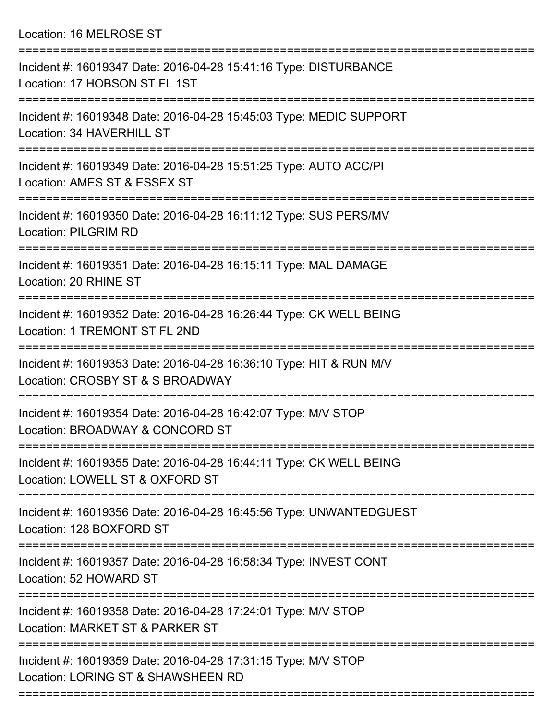Location: 16 MELROSE ST

| Incident #: 16019347 Date: 2016-04-28 15:41:16 Type: DISTURBANCE<br>Location: 17 HOBSON ST FL 1ST                                      |
|----------------------------------------------------------------------------------------------------------------------------------------|
| Incident #: 16019348 Date: 2016-04-28 15:45:03 Type: MEDIC SUPPORT<br>Location: 34 HAVERHILL ST                                        |
| Incident #: 16019349 Date: 2016-04-28 15:51:25 Type: AUTO ACC/PI<br>Location: AMES ST & ESSEX ST                                       |
| Incident #: 16019350 Date: 2016-04-28 16:11:12 Type: SUS PERS/MV<br>Location: PILGRIM RD                                               |
| Incident #: 16019351 Date: 2016-04-28 16:15:11 Type: MAL DAMAGE<br>Location: 20 RHINE ST                                               |
| ===============================<br>Incident #: 16019352 Date: 2016-04-28 16:26:44 Type: CK WELL BEING<br>Location: 1 TREMONT ST FL 2ND |
| Incident #: 16019353 Date: 2016-04-28 16:36:10 Type: HIT & RUN M/V<br>Location: CROSBY ST & S BROADWAY                                 |
| Incident #: 16019354 Date: 2016-04-28 16:42:07 Type: M/V STOP<br>Location: BROADWAY & CONCORD ST                                       |
| Incident #: 16019355 Date: 2016-04-28 16:44:11 Type: CK WELL BEING<br>Location: LOWELL ST & OXFORD ST                                  |
| Incident #: 16019356 Date: 2016-04-28 16:45:56 Type: UNWANTEDGUEST<br>Location: 128 BOXFORD ST                                         |
| Incident #: 16019357 Date: 2016-04-28 16:58:34 Type: INVEST CONT<br>Location: 52 HOWARD ST                                             |
| Incident #: 16019358 Date: 2016-04-28 17:24:01 Type: M/V STOP<br>Location: MARKET ST & PARKER ST                                       |
| Incident #: 16019359 Date: 2016-04-28 17:31:15 Type: M/V STOP<br>Location: LORING ST & SHAWSHEEN RD                                    |
|                                                                                                                                        |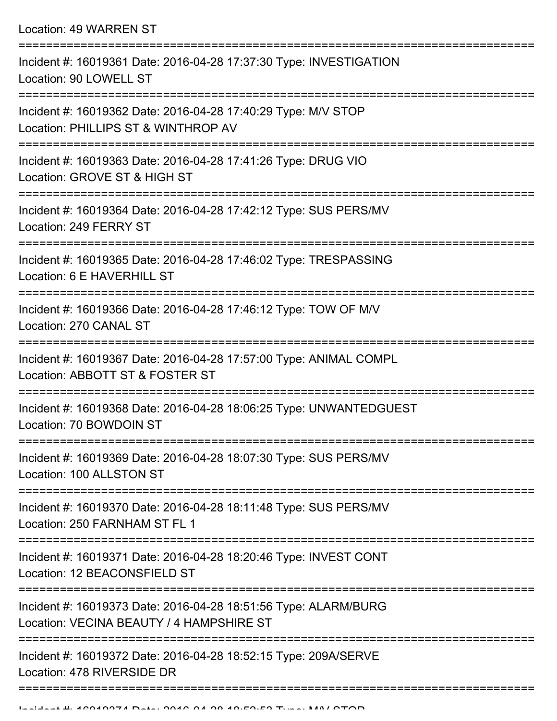| Incident #: 16019361 Date: 2016-04-28 17:37:30 Type: INVESTIGATION<br>Location: 90 LOWELL ST                |
|-------------------------------------------------------------------------------------------------------------|
| Incident #: 16019362 Date: 2016-04-28 17:40:29 Type: M/V STOP<br>Location: PHILLIPS ST & WINTHROP AV        |
| Incident #: 16019363 Date: 2016-04-28 17:41:26 Type: DRUG VIO<br>Location: GROVE ST & HIGH ST               |
| Incident #: 16019364 Date: 2016-04-28 17:42:12 Type: SUS PERS/MV<br>Location: 249 FERRY ST                  |
| Incident #: 16019365 Date: 2016-04-28 17:46:02 Type: TRESPASSING<br>Location: 6 E HAVERHILL ST              |
| Incident #: 16019366 Date: 2016-04-28 17:46:12 Type: TOW OF M/V<br>Location: 270 CANAL ST                   |
| Incident #: 16019367 Date: 2016-04-28 17:57:00 Type: ANIMAL COMPL<br>Location: ABBOTT ST & FOSTER ST        |
| Incident #: 16019368 Date: 2016-04-28 18:06:25 Type: UNWANTEDGUEST<br>Location: 70 BOWDOIN ST               |
| Incident #: 16019369 Date: 2016-04-28 18:07:30 Type: SUS PERS/MV<br>Location: 100 ALLSTON ST                |
| Incident #: 16019370 Date: 2016-04-28 18:11:48 Type: SUS PERS/MV<br>Location: 250 FARNHAM ST FL 1           |
| Incident #: 16019371 Date: 2016-04-28 18:20:46 Type: INVEST CONT<br>Location: 12 BEACONSFIELD ST            |
| Incident #: 16019373 Date: 2016-04-28 18:51:56 Type: ALARM/BURG<br>Location: VECINA BEAUTY / 4 HAMPSHIRE ST |
| Incident #: 16019372 Date: 2016-04-28 18:52:15 Type: 209A/SERVE<br>Location: 478 RIVERSIDE DR               |
|                                                                                                             |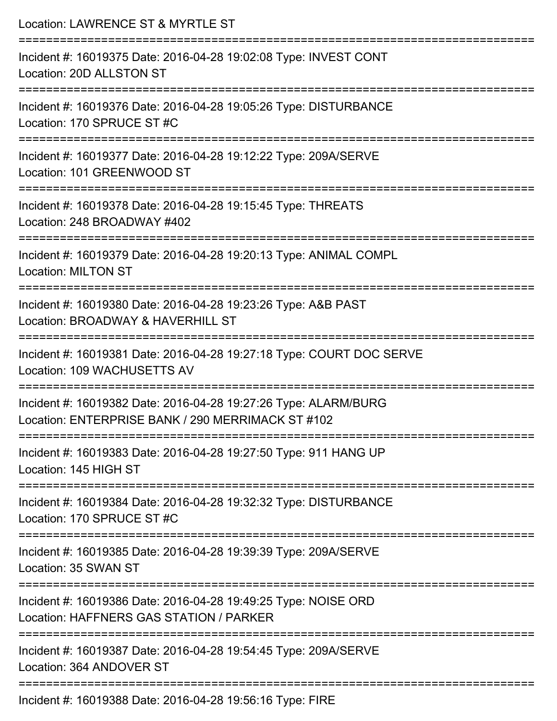| Location: LAWRENCE ST & MYRTLE ST                                                                                                                                                                                                                                                                                                                                                   |
|-------------------------------------------------------------------------------------------------------------------------------------------------------------------------------------------------------------------------------------------------------------------------------------------------------------------------------------------------------------------------------------|
| Incident #: 16019375 Date: 2016-04-28 19:02:08 Type: INVEST CONT<br>Location: 20D ALLSTON ST                                                                                                                                                                                                                                                                                        |
| Incident #: 16019376 Date: 2016-04-28 19:05:26 Type: DISTURBANCE<br>Location: 170 SPRUCE ST #C                                                                                                                                                                                                                                                                                      |
| Incident #: 16019377 Date: 2016-04-28 19:12:22 Type: 209A/SERVE<br>Location: 101 GREENWOOD ST<br>:=========================                                                                                                                                                                                                                                                         |
| Incident #: 16019378 Date: 2016-04-28 19:15:45 Type: THREATS<br>Location: 248 BROADWAY #402                                                                                                                                                                                                                                                                                         |
| Incident #: 16019379 Date: 2016-04-28 19:20:13 Type: ANIMAL COMPL<br><b>Location: MILTON ST</b>                                                                                                                                                                                                                                                                                     |
| =============================<br>Incident #: 16019380 Date: 2016-04-28 19:23:26 Type: A&B PAST<br>Location: BROADWAY & HAVERHILL ST                                                                                                                                                                                                                                                 |
| Incident #: 16019381 Date: 2016-04-28 19:27:18 Type: COURT DOC SERVE<br>Location: 109 WACHUSETTS AV                                                                                                                                                                                                                                                                                 |
| Incident #: 16019382 Date: 2016-04-28 19:27:26 Type: ALARM/BURG<br>Location: ENTERPRISE BANK / 290 MERRIMACK ST #102                                                                                                                                                                                                                                                                |
| Incident #: 16019383 Date: 2016-04-28 19:27:50 Type: 911 HANG UP<br>Location: 145 HIGH ST                                                                                                                                                                                                                                                                                           |
| Incident #: 16019384 Date: 2016-04-28 19:32:32 Type: DISTURBANCE<br>Location: 170 SPRUCE ST #C                                                                                                                                                                                                                                                                                      |
| ------------------------<br>Incident #: 16019385 Date: 2016-04-28 19:39:39 Type: 209A/SERVE<br>Location: 35 SWAN ST                                                                                                                                                                                                                                                                 |
| ======================<br>Incident #: 16019386 Date: 2016-04-28 19:49:25 Type: NOISE ORD<br>Location: HAFFNERS GAS STATION / PARKER                                                                                                                                                                                                                                                 |
| Incident #: 16019387 Date: 2016-04-28 19:54:45 Type: 209A/SERVE<br>Location: 364 ANDOVER ST                                                                                                                                                                                                                                                                                         |
| ${{\mathsf{L}}}_{\alpha}$ and ${{\mathsf{L}}}_{\alpha}$ and ${{\mathsf{L}}}_{\alpha}$ and ${{\mathsf{L}}}_{\alpha}$ and ${{\mathsf{L}}}_{\alpha}$ and ${{\mathsf{L}}}_{\alpha}$ and ${{\mathsf{L}}}_{\alpha}$ and ${{\mathsf{L}}}_{\alpha}$ and ${{\mathsf{L}}}_{\alpha}$ and ${{\mathsf{L}}}_{\alpha}$ and ${{\mathsf{L}}}_{\alpha}$ and ${{\mathsf{L}}}_{\alpha}$ and ${{\mathsf$ |

Incident #: 16019388 Date: 2016-04-28 19:56:16 Type: FIRE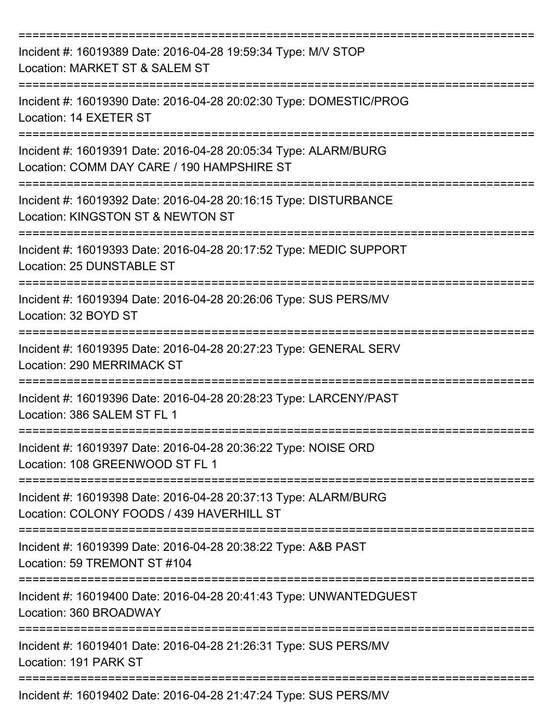| Incident #: 16019389 Date: 2016-04-28 19:59:34 Type: M/V STOP<br>Location: MARKET ST & SALEM ST                                        |
|----------------------------------------------------------------------------------------------------------------------------------------|
| Incident #: 16019390 Date: 2016-04-28 20:02:30 Type: DOMESTIC/PROG<br>Location: 14 EXETER ST                                           |
| Incident #: 16019391 Date: 2016-04-28 20:05:34 Type: ALARM/BURG<br>Location: COMM DAY CARE / 190 HAMPSHIRE ST<br>:==================== |
| Incident #: 16019392 Date: 2016-04-28 20:16:15 Type: DISTURBANCE<br>Location: KINGSTON ST & NEWTON ST                                  |
| Incident #: 16019393 Date: 2016-04-28 20:17:52 Type: MEDIC SUPPORT<br>Location: 25 DUNSTABLE ST                                        |
| Incident #: 16019394 Date: 2016-04-28 20:26:06 Type: SUS PERS/MV<br>Location: 32 BOYD ST                                               |
| Incident #: 16019395 Date: 2016-04-28 20:27:23 Type: GENERAL SERV<br><b>Location: 290 MERRIMACK ST</b>                                 |
| Incident #: 16019396 Date: 2016-04-28 20:28:23 Type: LARCENY/PAST<br>Location: 386 SALEM ST FL 1                                       |
| Incident #: 16019397 Date: 2016-04-28 20:36:22 Type: NOISE ORD<br>Location: 108 GREENWOOD ST FL 1                                      |
| Incident #: 16019398 Date: 2016-04-28 20:37:13 Type: ALARM/BURG<br>Location: COLONY FOODS / 439 HAVERHILL ST                           |
| Incident #: 16019399 Date: 2016-04-28 20:38:22 Type: A&B PAST<br>Location: 59 TREMONT ST #104                                          |
| Incident #: 16019400 Date: 2016-04-28 20:41:43 Type: UNWANTEDGUEST<br>Location: 360 BROADWAY                                           |
| Incident #: 16019401 Date: 2016-04-28 21:26:31 Type: SUS PERS/MV<br>Location: 191 PARK ST                                              |
| Incident #: 16019402 Date: 2016-04-28 21:47:24 Type: SUS PERS/MV                                                                       |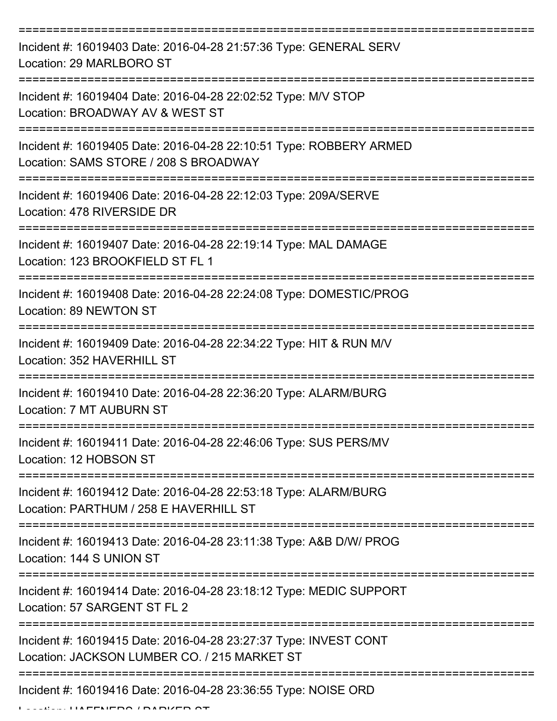| Incident #: 16019403 Date: 2016-04-28 21:57:36 Type: GENERAL SERV<br>Location: 29 MARLBORO ST                    |
|------------------------------------------------------------------------------------------------------------------|
| Incident #: 16019404 Date: 2016-04-28 22:02:52 Type: M/V STOP<br>Location: BROADWAY AV & WEST ST                 |
| Incident #: 16019405 Date: 2016-04-28 22:10:51 Type: ROBBERY ARMED<br>Location: SAMS STORE / 208 S BROADWAY      |
| Incident #: 16019406 Date: 2016-04-28 22:12:03 Type: 209A/SERVE<br>Location: 478 RIVERSIDE DR                    |
| Incident #: 16019407 Date: 2016-04-28 22:19:14 Type: MAL DAMAGE<br>Location: 123 BROOKFIELD ST FL 1              |
| Incident #: 16019408 Date: 2016-04-28 22:24:08 Type: DOMESTIC/PROG<br>Location: 89 NEWTON ST                     |
| Incident #: 16019409 Date: 2016-04-28 22:34:22 Type: HIT & RUN M/V<br>Location: 352 HAVERHILL ST                 |
| Incident #: 16019410 Date: 2016-04-28 22:36:20 Type: ALARM/BURG<br>Location: 7 MT AUBURN ST                      |
| Incident #: 16019411 Date: 2016-04-28 22:46:06 Type: SUS PERS/MV<br>Location: 12 HOBSON ST                       |
| Incident #: 16019412 Date: 2016-04-28 22:53:18 Type: ALARM/BURG<br>Location: PARTHUM / 258 E HAVERHILL ST        |
| Incident #: 16019413 Date: 2016-04-28 23:11:38 Type: A&B D/W/ PROG<br>Location: 144 S UNION ST                   |
| Incident #: 16019414 Date: 2016-04-28 23:18:12 Type: MEDIC SUPPORT<br>Location: 57 SARGENT ST FL 2               |
| Incident #: 16019415 Date: 2016-04-28 23:27:37 Type: INVEST CONT<br>Location: JACKSON LUMBER CO. / 215 MARKET ST |
| Incident #: 16019416 Date: 2016-04-28 23:36:55 Type: NOISE ORD                                                   |